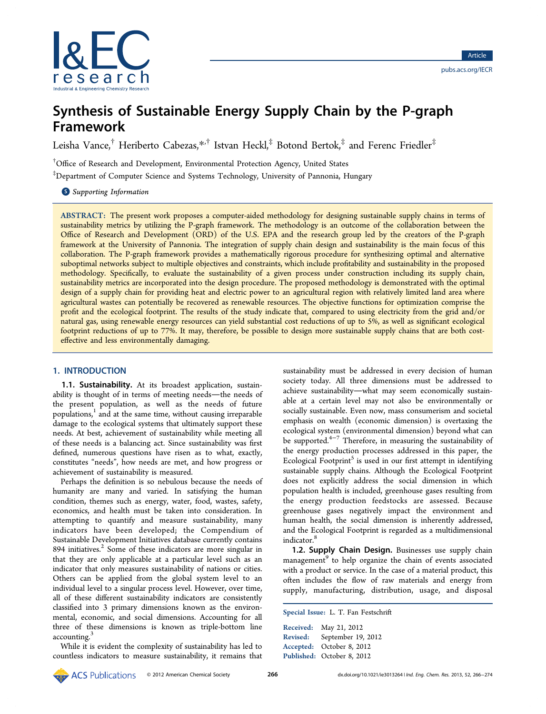

# Synthesis of Sustainable Energy Supply Chain by the P‑graph Framework

Leisha Vance,<sup>†</sup> Heriberto Cabezas,<sup>\*,†</sup> Istvan Heckl,<sup>‡</sup> Botond Bertok,<sup>‡</sup> and Ferenc Friedler<sup>‡</sup>

† Office of Research and Development, Env[iro](#page-7-0)nmental Protection Agency, United States

‡ Department of Computer Science and Systems Technology, University of Pannonia, Hungary

**S** Supporting Information

[AB](#page-7-0)STRACT: [The present w](#page-7-0)ork proposes a computer-aided methodology for designing sustainable supply chains in terms of sustainability metrics by utilizing the P-graph framework. The methodology is an outcome of the collaboration between the Office of Research and Development (ORD) of the U.S. EPA and the research group led by the creators of the P-graph framework at the University of Pannonia. The integration of supply chain design and sustainability is the main focus of this collaboration. The P-graph framework provides a mathematically rigorous procedure for synthesizing optimal and alternative suboptimal networks subject to multiple objectives and constraints, which include profitability and sustainability in the proposed methodology. Specifically, to evaluate the sustainability of a given process under construction including its supply chain, sustainability metrics are incorporated into the design procedure. The proposed methodology is demonstrated with the optimal design of a supply chain for providing heat and electric power to an agricultural region with relatively limited land area where agricultural wastes can potentially be recovered as renewable resources. The objective functions for optimization comprise the profit and the ecological footprint. The results of the study indicate that, compared to using electricity from the grid and/or natural gas, using renewable energy resources can yield substantial cost reductions of up to 5%, as well as significant ecological footprint reductions of up to 77%. It may, therefore, be possible to design more sustainable supply chains that are both costeffective and less environmentally damaging.

# 1. INTRODUCTION

1.1. Sustainability. At its broadest application, sustainability is thought of in terms of meeting needs—the needs of the present population, as well as the needs of future populations, $<sup>1</sup>$  and at the same time, without causing irreparable</sup> damage to the ecological systems that ultimately support these needs. At b[es](#page-8-0)t, achievement of sustainability while meeting all of these needs is a balancing act. Since sustainability was first defined, numerous questions have risen as to what, exactly, constitutes "needs", how needs are met, and how progress or achievement of sustainability is measured.

Perhaps the definition is so nebulous because the needs of humanity are many and varied. In satisfying the human condition, themes such as energy, water, food, wastes, safety, economics, and health must be taken into consideration. In attempting to quantify and measure sustainability, many indicators have been developed; the Compendium of Sustainable Development Initiatives database currently contains 894 initiatives. $2$  Some of these indicators are more singular in that they are only applicable at a particular level such as an indicator that [o](#page-8-0)nly measures sustainability of nations or cities. Others can be applied from the global system level to an individual level to a singular process level. However, over time, all of these different sustainability indicators are consistently classified into 3 primary dimensions known as the environmental, economic, and social dimensions. Accounting for all three of these dimensions is known as triple-bottom line accounting.<sup>3</sup>

While it is evident the complexity of sustainability has led to countless i[nd](#page-8-0)icators to measure sustainability, it remains that sustainability must be addressed in every decision of human society today. All three dimensions must be addressed to achieve sustainability-what may seem economically sustainable at a certain level may not also be environmentally or socially sustainable. Even now, mass consumerism and societal emphasis on wealth (economic dimension) is overtaxing the ecological system (environmental dimension) beyond what can be supported.4−<sup>7</sup> Therefore, in measuring the sustainability of the energy production processes addressed in this paper, the Ec[o](#page-8-0)logical Foot[pr](#page-8-0)int<sup>5</sup> is used in our first attempt in identifying sustainable supply chains. Although the Ecological Footprint does not explicitly [a](#page-8-0)ddress the social dimension in which population health is included, greenhouse gases resulting from the energy production feedstocks are assessed. Because greenhouse gases negatively impact the environment and human health, the social dimension is inherently addressed, and the Ecological Footprint is regarded as a multidimensional indicator.<sup>8</sup>

1.2. Supply Chain Design. Businesses use supply chain manage[me](#page-8-0)nt<sup>9</sup> to help organize the chain of events associated with a product or service. In the case of a material product, this often includ[es](#page-8-0) the flow of raw materials and energy from supply, manufacturing, distribution, usage, and disposal

Special Issue: L. T. Fan Festschrift

Received: May 21, 2012 Revised: September 19, 2012 Accepted: October 8, 2012 Published: October 8, 2012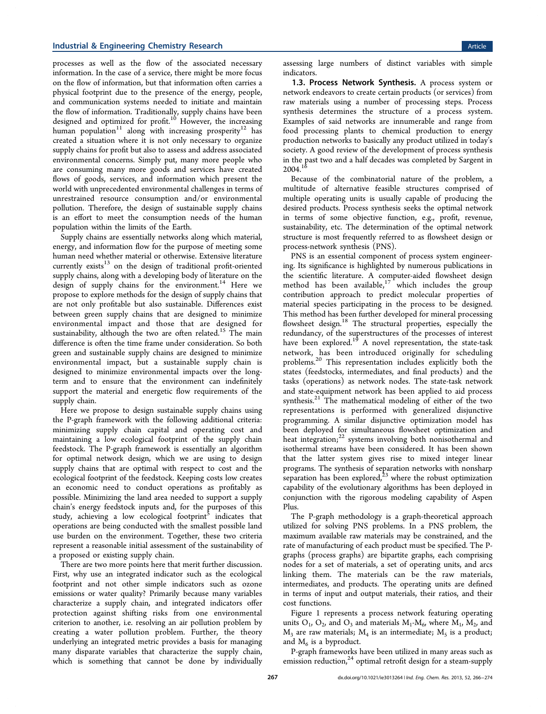processes as well as the flow of the associated necessary information. In the case of a service, there might be more focus on the flow of information, but that information often carries a physical footprint due to the presence of the energy, people, and communication systems needed to initiate and maintain the flow of information. Traditionally, supply chains have been designed and optimized for profit.<sup>10</sup> However, the increasing human population $11$  along with increasing prosperity $12$  has created a situation where it is not [o](#page-8-0)nly necessary to organize supply chains for p[ro](#page-8-0)fit but also to assess and address ass[oci](#page-8-0)ated environmental concerns. Simply put, many more people who are consuming many more goods and services have created flows of goods, services, and information which present the world with unprecedented environmental challenges in terms of unrestrained resource consumption and/or environmental pollution. Therefore, the design of sustainable supply chains is an effort to meet the consumption needs of the human population within the limits of the Earth.

Supply chains are essentially networks along which material, energy, and information flow for the purpose of meeting some human need whether material or otherwise. Extensive literature currently exists $^{13}$  on the design of traditional profit-oriented supply chains, along with a developing body of literature on the design of sup[ply](#page-8-0) chains for the environment.<sup>14</sup> Here we propose to explore methods for the design of supply chains that are not only profitable but also sustainable. Diff[er](#page-8-0)ences exist between green supply chains that are designed to minimize environmental impact and those that are designed for sustainability, although the two are often related.<sup>15</sup> The main difference is often the time frame under consideration. So both green and sustainable supply chains are designed [to](#page-8-0) minimize environmental impact, but a sustainable supply chain is designed to minimize environmental impacts over the longterm and to ensure that the environment can indefinitely support the material and energetic flow requirements of the supply chain.

Here we propose to design sustainable supply chains using the P-graph framework with the following additional criteria: minimizing supply chain capital and operating cost and maintaining a low ecological footprint of the supply chain feedstock. The P-graph framework is essentially an algorithm for optimal network design, which we are using to design supply chains that are optimal with respect to cost and the ecological footprint of the feedstock. Keeping costs low creates an economic need to conduct operations as profitably as possible. Minimizing the land area needed to support a supply chain's energy feedstock inputs and, for the purposes of this study, achieving a low ecological footprint<sup>5</sup> indicates that operations are being conducted with the smallest possible land use burden on the environment. Together, t[h](#page-8-0)ese two criteria represent a reasonable initial assessment of the sustainability of a proposed or existing supply chain.

There are two more points here that merit further discussion. First, why use an integrated indicator such as the ecological footprint and not other simple indicators such as ozone emissions or water quality? Primarily because many variables characterize a supply chain, and integrated indicators offer protection against shifting risks from one environmental criterion to another, i.e. resolving an air pollution problem by creating a water pollution problem. Further, the theory underlying an integrated metric provides a basis for managing many disparate variables that characterize the supply chain, which is something that cannot be done by individually

assessing large numbers of distinct variables with simple indicators.

1.3. Process Network Synthesis. A process system or network endeavors to create certain products (or services) from raw materials using a number of processing steps. Process synthesis determines the structure of a process system. Examples of said networks are innumerable and range from food processing plants to chemical production to energy production networks to basically any product utilized in today's society. A good review of the development of process synthesis in the past two and a half decades was completed by Sargent in  $2004.<sup>16</sup>$ 

Because of the combinatorial nature of the problem, a multi[tu](#page-8-0)de of alternative feasible structures comprised of multiple operating units is usually capable of producing the desired products. Process synthesis seeks the optimal network in terms of some objective function, e.g., profit, revenue, sustainability, etc. The determination of the optimal network structure is most frequently referred to as flowsheet design or process-network synthesis (PNS).

PNS is an essential component of process system engineering. Its significance is highlighted by numerous publications in the scientific literature. A computer-aided flowsheet design method has been available, $17$  which includes the group contribution approach to predict molecular properties of material species participating [in](#page-8-0) the process to be designed. This method has been further developed for mineral processing flowsheet design.<sup>18</sup> The structural properties, especially the redundancy, of the superstructures of the processes of interest have been explo[red](#page-8-0).<sup>19</sup> A novel representation, the state-task network, has been introduced originally for scheduling problems.<sup>20</sup> This re[pr](#page-8-0)esentation includes explicitly both the states (feedstocks, intermediates, and final products) and the tasks (op[era](#page-8-0)tions) as network nodes. The state-task network and state-equipment network has been applied to aid process synthesis.<sup>21</sup> The mathematical modeling of either of the two representations is performed with generalized disjunctive program[min](#page-8-0)g. A similar disjunctive optimization model has been deployed for simultaneous flowsheet optimization and heat integration; $22$  systems involving both nonisothermal and isothermal streams have been considered. It has been shown that the latter [sy](#page-8-0)stem gives rise to mixed integer linear programs. The synthesis of separation networks with nonsharp separation has been explored, $23$  where the robust optimization capability of the evolutionary algorithms has been deployed in conjunction with the rigoro[us](#page-8-0) modeling capability of Aspen Plus.

The P-graph methodology is a graph-theoretical approach utilized for solving PNS problems. In a PNS problem, the maximum available raw materials may be constrained, and the rate of manufacturing of each product must be specified. The Pgraphs (process graphs) are bipartite graphs, each comprising nodes for a set of materials, a set of operating units, and arcs linking them. The materials can be the raw materials, intermediates, and products. The operating units are defined in terms of input and output materials, their ratios, and their cost functions.

Figure 1 represents a process network featuring operating units  $O_1$ ,  $O_2$ , and  $O_3$  and materials  $M_1$ - $M_6$ , where  $M_1$ ,  $M_2$ , and  $M_3$  are ra[w](#page-2-0) materials;  $M_4$  is an intermediate;  $M_5$  is a product; and  $M_6$  is a byproduct.

P-graph frameworks have been utilized in many areas such as emission reduction, $^{24}$  optimal retrofit design for a steam-supply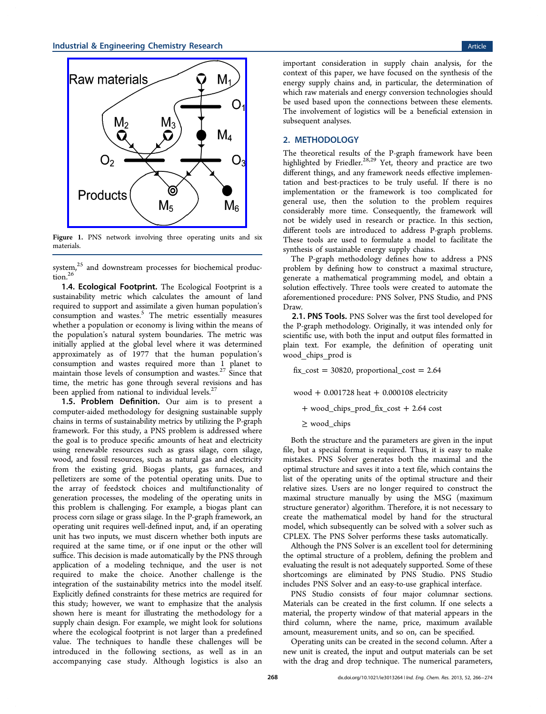<span id="page-2-0"></span>

Figure 1. [PNS network involving three operating units an](http://pubs.acs.org/action/showImage?doi=10.1021/ie3013264&iName=master.img-000.png&w=200&h=189)d six materials.

system, $^{25}$  and downstream processes for biochemical produc $t$ <sub>ion.</sub><sup>26</sup>

1.4. [Ec](#page-8-0)ological Footprint. The Ecological Footprint is a sust[ain](#page-8-0)ability metric which calculates the amount of land required to support and assimilate a given human population's consumption and wastes.<sup>5</sup> The metric essentially measures whether a population or economy is living within the means of the population's natural [sy](#page-8-0)stem boundaries. The metric was initially applied at the global level where it was determined approximately as of 1977 that the human population's consumption and wastes required more than 1 planet to maintain those levels of consumption and wastes.<sup>27</sup> Since that time, the metric has gone through several revisions and has been applied from national to individual levels.<sup>27</sup>

1.5. Problem Definition. Our aim is to present a computer-aided methodology for designing su[sta](#page-8-0)inable supply chains in terms of sustainability metrics by utilizing the P-graph framework. For this study, a PNS problem is addressed where the goal is to produce specific amounts of heat and electricity using renewable resources such as grass silage, corn silage, wood, and fossil resources, such as natural gas and electricity from the existing grid. Biogas plants, gas furnaces, and pelletizers are some of the potential operating units. Due to the array of feedstock choices and multifunctionality of generation processes, the modeling of the operating units in this problem is challenging. For example, a biogas plant can process corn silage or grass silage. In the P-graph framework, an operating unit requires well-defined input, and, if an operating unit has two inputs, we must discern whether both inputs are required at the same time, or if one input or the other will suffice. This decision is made automatically by the PNS through application of a modeling technique, and the user is not required to make the choice. Another challenge is the integration of the sustainability metrics into the model itself. Explicitly defined constraints for these metrics are required for this study; however, we want to emphasize that the analysis shown here is meant for illustrating the methodology for a supply chain design. For example, we might look for solutions where the ecological footprint is not larger than a predefined value. The techniques to handle these challenges will be introduced in the following sections, as well as in an accompanying case study. Although logistics is also an

important consideration in supply chain analysis, for the context of this paper, we have focused on the synthesis of the energy supply chains and, in particular, the determination of which raw materials and energy conversion technologies should be used based upon the connections between these elements. The involvement of logistics will be a beneficial extension in subsequent analyses.

# 2. METHODOLOGY

The theoretical results of the P-graph framework have been highlighted by Friedler.<sup>28,29</sup> Yet, theory and practice are two different things, and any framework needs effective implementation and best-practic[es to](#page-8-0) be truly useful. If there is no implementation or the framework is too complicated for general use, then the solution to the problem requires considerably more time. Consequently, the framework will not be widely used in research or practice. In this section, different tools are introduced to address P-graph problems. These tools are used to formulate a model to facilitate the synthesis of sustainable energy supply chains.

The P-graph methodology defines how to address a PNS problem by defining how to construct a maximal structure, generate a mathematical programming model, and obtain a solution effectively. Three tools were created to automate the aforementioned procedure: PNS Solver, PNS Studio, and PNS Draw.

**2.1. PNS Tools.** PNS Solver was the first tool developed for the P-graph methodology. Originally, it was intended only for scientific use, with both the input and output files formatted in plain text. For example, the definition of operating unit wood\_chips\_prod is

 $fix\_cost = 30820$ , proportional $\_cost = 2.64$ 

 $wood + 0.001728$  heat  $+ 0.000108$  electricity

+ wood\_chips\_prod\_fix\_cost + 2.64 cost

≥ wood\_chips

Both the structure and the parameters are given in the input file, but a special format is required. Thus, it is easy to make mistakes. PNS Solver generates both the maximal and the optimal structure and saves it into a text file, which contains the list of the operating units of the optimal structure and their relative sizes. Users are no longer required to construct the maximal structure manually by using the MSG (maximum structure generator) algorithm. Therefore, it is not necessary to create the mathematical model by hand for the structural model, which subsequently can be solved with a solver such as CPLEX. The PNS Solver performs these tasks automatically.

Although the PNS Solver is an excellent tool for determining the optimal structure of a problem, defining the problem and evaluating the result is not adequately supported. Some of these shortcomings are eliminated by PNS Studio. PNS Studio includes PNS Solver and an easy-to-use graphical interface.

PNS Studio consists of four major columnar sections. Materials can be created in the first column. If one selects a material, the property window of that material appears in the third column, where the name, price, maximum available amount, measurement units, and so on, can be specified.

Operating units can be created in the second column. After a new unit is created, the input and output materials can be set with the drag and drop technique. The numerical parameters,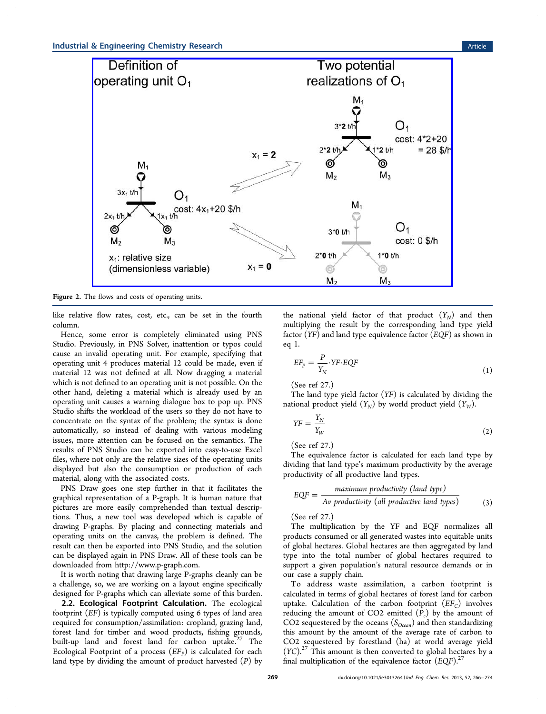<span id="page-3-0"></span>

Figure 2. The fl[ows and costs of operating units.](http://pubs.acs.org/action/showImage?doi=10.1021/ie3013264&iName=master.img-001.jpg&w=408&h=257)

like relative flow rates, cost, etc., can be set in the fourth column.

Hence, some error is completely eliminated using PNS Studio. Previously, in PNS Solver, inattention or typos could cause an invalid operating unit. For example, specifying that operating unit 4 produces material 12 could be made, even if material 12 was not defined at all. Now dragging a material which is not defined to an operating unit is not possible. On the other hand, deleting a material which is already used by an operating unit causes a warning dialogue box to pop up. PNS Studio shifts the workload of the users so they do not have to concentrate on the syntax of the problem; the syntax is done automatically, so instead of dealing with various modeling issues, more attention can be focused on the semantics. The results of PNS Studio can be exported into easy-to-use Excel files, where not only are the relative sizes of the operating units displayed but also the consumption or production of each material, along with the associated costs.

PNS Draw goes one step further in that it facilitates the graphical representation of a P-graph. It is human nature that pictures are more easily comprehended than textual descriptions. Thus, a new tool was developed which is capable of drawing P-graphs. By placing and connecting materials and operating units on the canvas, the problem is defined. The result can then be exported into PNS Studio, and the solution can be displayed again in PNS Draw. All of these tools can be downloaded from http://www.p-graph.com.

It is worth noting that drawing large P-graphs cleanly can be a challenge, so, w[e are working on a layout](http://www.p-graph.com) engine specifically designed for P-graphs which can alleviate some of this burden.

2.2. Ecological Footprint Calculation. The ecological footprint (EF) is typically computed using 6 types of land area required for consumption/assimilation: cropland, grazing land, forest land for timber and wood products, fishing grounds, built-up land and forest land for carbon uptake. $27$  The Ecological Footprint of a process  $(EF_p)$  is calculated for each land type by dividing the amount of product harvested  $(P)$  by the national yield factor of that product  $(Y_N)$  and then multiplying the result by the corresponding land type yield factor (YF) and land type equivalence factor (EQF) as shown in eq 1.

$$
EF_{P} = \frac{P}{Y_{N}} \cdot YF \cdot EQF \tag{1}
$$

(See ref 27.)

The land type yield factor (YF) is calculated by dividing the national pr[odu](#page-8-0)ct yield  $(Y_N)$  by world product yield  $(Y_W)$ .

$$
YF = \frac{Y_N}{Y_W} \tag{2}
$$

(See ref 27.)

The equivalence factor is calculated for each land type by dividing th[at l](#page-8-0)and type's maximum productivity by the average productivity of all productive land types.

$$
EQF = \frac{maximum \text{ productivity (land type)}}{Av \text{ productivity (all productive land types)}}
$$
(3)

(See ref 27.)

The multiplication by the YF and EQF normalizes all products c[ons](#page-8-0)umed or all generated wastes into equitable units of global hectares. Global hectares are then aggregated by land type into the total number of global hectares required to support a given population's natural resource demands or in our case a supply chain.

To address waste assimilation, a carbon footprint is calculated in terms of global hectares of forest land for carbon uptake. Calculation of the carbon footprint  $(EF_C)$  involves reducing the amount of CO2 emitted  $(P_c)$  by the amount of CO2 sequestered by the oceans  $(S<sub>Ocean</sub>)$  and then standardizing this amount by the amount of the average rate of carbon to CO2 sequestered by forestland (ha) at world average yield  $(YC)^{27}$  This amount is then converted to global hectares by a final multiplication of the equivalence factor  $(EQF)^{27}$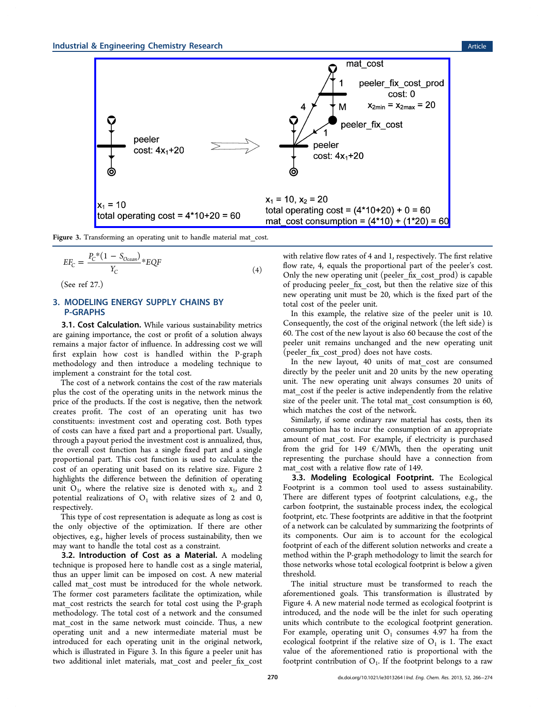

Figure 3. Transforming an operating unit to handle material mat cost.

$$
EF_C = \frac{P_C^*(1 - S_{Ocean})}{Y_C} *EQF
$$
\n(4)

(See ref 27.)

## 3. MODELING ENERGY SUPPLY CHAINS BY P-GRA[PH](#page-8-0)S

3.1. Cost Calculation. While various sustainability metrics are gaining importance, the cost or profit of a solution always remains a major factor of influence. In addressing cost we will first explain how cost is handled within the P-graph methodology and then introduce a modeling technique to implement a constraint for the total cost.

The cost of a network contains the cost of the raw materials plus the cost of the operating units in the network minus the price of the products. If the cost is negative, then the network creates profit. The cost of an operating unit has two constituents: investment cost and operating cost. Both types of costs can have a fixed part and a proportional part. Usually, through a payout period the investment cost is annualized, thus, the overall cost function has a single fixed part and a single proportional part. This cost function is used to calculate the cost of an operating unit based on its relative size. Figure 2 highlights the difference between the definition of operating unit  $O_1$ , where the relative size is denoted with  $x_1$ , and [2](#page-3-0) potential realizations of  $O_1$  with relative sizes of 2 and 0, respectively.

This type of cost representation is adequate as long as cost is the only objective of the optimization. If there are other objectives, e.g., higher levels of process sustainability, then we may want to handle the total cost as a constraint.

3.2. Introduction of Cost as a Material. A modeling technique is proposed here to handle cost as a single material, thus an upper limit can be imposed on cost. A new material called mat\_cost must be introduced for the whole network. The former cost parameters facilitate the optimization, while mat\_cost restricts the search for total cost using the P-graph methodology. The total cost of a network and the consumed mat cost in the same network must coincide. Thus, a new operating unit and a new intermediate material must be introduced for each operating unit in the original network, which is illustrated in Figure 3. In this figure a peeler unit has two additional inlet materials, mat\_cost and peeler\_fix\_cost with relative flow rates of 4 and 1, respectively. The first relative flow rate, 4, equals the proportional part of the peeler's cost. Only the new operating unit (peeler\_fix\_cost\_prod) is capable of producing peeler\_fix\_cost, but then the relative size of this new operating unit must be 20, which is the fixed part of the total cost of the peeler unit.

In this example, the relative size of the peeler unit is 10. Consequently, the cost of the original network (the left side) is 60. The cost of the new layout is also 60 because the cost of the peeler unit remains unchanged and the new operating unit (peeler fix cost prod) does not have costs.

In the new layout, 40 units of mat\_cost are consumed directly by the peeler unit and 20 units by the new operating unit. The new operating unit always consumes 20 units of mat cost if the peeler is active independently from the relative size of the peeler unit. The total mat cost consumption is 60, which matches the cost of the network.

Similarly, if some ordinary raw material has costs, then its consumption has to incur the consumption of an appropriate amount of mat cost. For example, if electricity is purchased from the grid for 149  $\epsilon/MWh$ , then the operating unit representing the purchase should have a connection from mat cost with a relative flow rate of 149.

3.3. Modeling Ecological Footprint. The Ecological Footprint is a common tool used to assess sustainability. There are different types of footprint calculations, e.g., the carbon footprint, the sustainable process index, the ecological footprint, etc. These footprints are additive in that the footprint of a network can be calculated by summarizing the footprints of its components. Our aim is to account for the ecological footprint of each of the different solution networks and create a method within the P-graph methodology to limit the search for those networks whose total ecological footprint is below a given threshold.

The initial structure must be transformed to reach the aforementioned goals. This transformation is illustrated by Figure 4. A new material node termed as ecological footprint is introduced, and the node will be the inlet for such operating units [wh](#page-5-0)ich contribute to the ecological footprint generation. For example, operating unit  $O<sub>1</sub>$  consumes 4.97 ha from the ecological footprint if the relative size of  $O<sub>1</sub>$  is 1. The exact value of the aforementioned ratio is proportional with the footprint contribution of  $O<sub>1</sub>$ . If the footprint belongs to a raw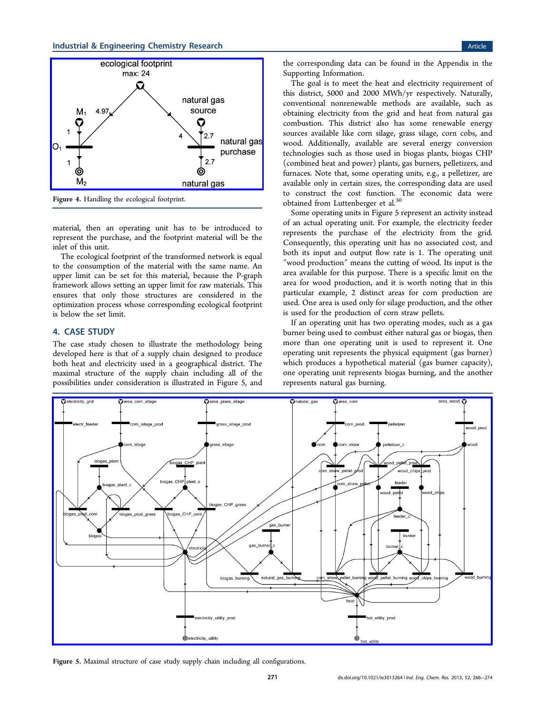#### **Industrial & Engineering Chemistry Research Article 3 and 2008 Control Article 2008 Control Article 3 and 2008 Control Article 3 and 2008 Control Article 3 and 2008 Control Article 3 and 2008 Control Article 3 and 2008 Co**

<span id="page-5-0"></span>

Figure 4. [Handling the ecological footprint.](http://pubs.acs.org/action/showImage?doi=10.1021/ie3013264&iName=master.img-003.png&w=239&h=146)

material, then an operating unit has to be introduced to represent the purchase, and the footprint material will be the inlet of this unit.

The ecological footprint of the transformed network is equal to the consumption of the material with the same name. An upper limit can be set for this material, because the P-graph framework allows setting an upper limit for raw materials. This ensures that only those structures are considered in the optimization process whose corresponding ecological footprint is below the set limit.

## 4. CASE STUDY

The case study chosen to illustrate the methodology being developed here is that of a supply chain designed to produce both heat and electricity used in a geographical district. The maximal structure of the supply chain including all of the possibilities under consideration is illustrated in Figure 5, and

the corresponding data can be found in the Appendix in the Supporting Information.

The goal is to meet the heat and electricity requirement of [this district, 5000 and](#page-7-0) 2000 MWh/yr respectively. Naturally, conventional nonrenewable methods are available, such as obtaining electricity from the grid and heat from natural gas combustion. This district also has some renewable energy sources available like corn silage, grass silage, corn cobs, and wood. Additionally, available are several energy conversion technologies such as those used in biogas plants, biogas CHP (combined heat and power) plants, gas burners, pelletizers, and furnaces. Note that, some operating units, e.g., a pelletizer, are available only in certain sizes, the corresponding data are used to construct the cost function. The economic data were obtained from Luttenberger et al.<sup>30</sup>

Some operating units in Figure 5 represent an activity instead of an actual operating unit. For [exa](#page-8-0)mple, the electricity feeder represents the purchase of the electricity from the grid. Consequently, this operating unit has no associated cost, and both its input and output flow rate is 1. The operating unit ″wood production″ means the cutting of wood. Its input is the area available for this purpose. There is a specific limit on the area for wood production, and it is worth noting that in this particular example, 2 distinct areas for corn production are used. One area is used only for silage production, and the other is used for the production of corn straw pellets.

If an operating unit has two operating modes, such as a gas burner being used to combust either natural gas or biogas, then more than one operating unit is used to represent it. One operating unit represents the physical equipment (gas burner) which produces a hypothetical material (gas burner capacity), one operating unit represents biogas burning, and the another represents natural gas burning.



Figure 5. [Maximal structure of case study supply chain including all con](http://pubs.acs.org/action/showImage?doi=10.1021/ie3013264&iName=master.img-004.png&w=499&h=279)figurations.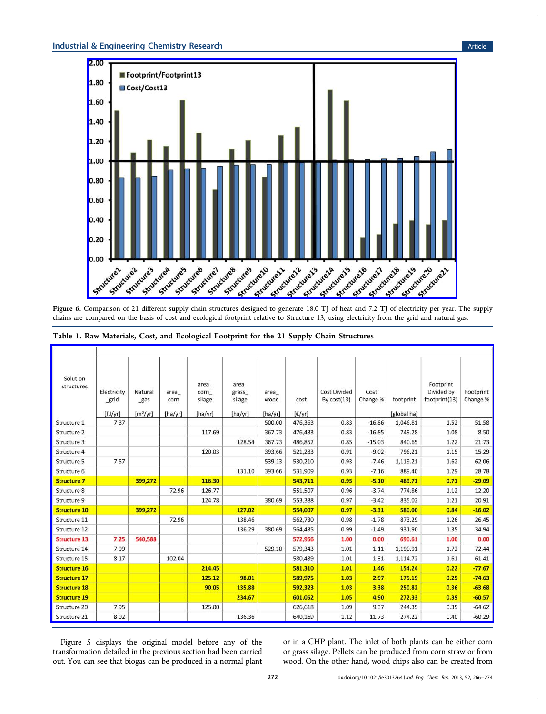<span id="page-6-0"></span>

chains are compared on the basis of cost and ecological footprint relative to Structure 13, using electricity from the grid and natural gas.

| Solution<br>structures |                                |                                        |                         |                                   |                                     |                         |                                    |                                      |                  |                          |                                          |                       |
|------------------------|--------------------------------|----------------------------------------|-------------------------|-----------------------------------|-------------------------------------|-------------------------|------------------------------------|--------------------------------------|------------------|--------------------------|------------------------------------------|-----------------------|
|                        | Electricity<br>grid<br>[TJ/yr] | Natural<br>gas<br>[m <sup>3</sup> /yr] | area<br>corn<br>[ha/yr] | area<br>corn<br>silage<br>[ha/yr] | area<br>grass_<br>silage<br>[ha/yr] | area<br>wood<br>[ha/yr] | cost<br>$[\mathsf{E}/\mathsf{yr}]$ | <b>Cost Divided</b><br>By $cost(13)$ | Cost<br>Change % | footprint<br>[global ha] | Footprint<br>Divided by<br>footprint(13) | Footprint<br>Change % |
| Structure 1            | 7.37                           |                                        |                         |                                   |                                     | 500.00                  | 476,363                            | 0.83                                 | $-16.86$         | 1,046.81                 | 1.52                                     | 51.58                 |
| Structure 2            |                                |                                        |                         | 117.69                            |                                     | 367.73                  | 476,433                            | 0.83                                 | $-16.85$         | 749.28                   | 1.08                                     | 8.50                  |
| Structure 3            |                                |                                        |                         |                                   | 128.54                              | 367.73                  | 486,852                            | 0.85                                 | $-15.03$         | 840.65                   | 1.22                                     | 21.73                 |
| Structure 4            |                                |                                        |                         | 120.03                            |                                     | 393.66                  | 521,283                            | 0.91                                 | $-9.02$          | 796.21                   | 1.15                                     | 15.29                 |
| Structure 5            | 7.57                           |                                        |                         |                                   |                                     | 539.13                  | 530,210                            | 0.93                                 | $-7.46$          | 1,119.21                 | 1.62                                     | 62.06                 |
| Structure 6            |                                |                                        |                         |                                   | 131.10                              | 393.66                  | 531,909                            | 0.93                                 | $-7.16$          | 889.40                   | 1.29                                     | 28.78                 |
| <b>Structure 7</b>     |                                | 399,272                                |                         | 116.30                            |                                     |                         | 543,711                            | 0.95                                 | $-5.10$          | 489.71                   | 0.71                                     | $-29.09$              |
| Structure 8            |                                |                                        | 72.96                   | 126.77                            |                                     |                         | 551,507                            | 0.96                                 | $-3.74$          | 774.86                   | 1.12                                     | 12.20                 |
| Structure 9            |                                |                                        |                         | 124.78                            |                                     | 380.69                  | 553,388                            | 0.97                                 | $-3.42$          | 835.02                   | 1.21                                     | 20.91                 |
| <b>Structure 10</b>    |                                | 399,272                                |                         |                                   | 127.02                              |                         | 554,007                            | 0.97                                 | $-3.31$          | 580.00                   | 0.84                                     | $-16.02$              |
| Structure 11           |                                |                                        | 72.96                   |                                   | 138.46                              |                         | 562,730                            | 0.98                                 | $-1.78$          | 873.29                   | 1.26                                     | 26.45                 |
| Structure 12           |                                |                                        |                         |                                   | 136.29                              | 380.69                  | 564,435                            | 0.99                                 | $-1.49$          | 931.90                   | 1.35                                     | 34.94                 |
| <b>Structure 13</b>    | 7.25                           | 540,588                                |                         |                                   |                                     |                         | 572,956                            | 1.00                                 | 0.00             | 690.61                   | 1.00                                     | 0.00                  |
| Structure 14           | 7.99                           |                                        |                         |                                   |                                     | 529.10                  | 579,343                            | 1.01                                 | 1.11             | 1,190.91                 | 1.72                                     | 72.44                 |
| Structure 15           | 8.17                           |                                        | 102.04                  |                                   |                                     |                         | 580,439                            | 1.01                                 | 1.31             | 1,114.72                 | 1.61                                     | 61.41                 |
| <b>Structure 16</b>    |                                |                                        |                         | 214.45                            |                                     |                         | 581,310                            | 1.01                                 | 1.46             | 154.24                   | 0.22                                     | $-77.67$              |
| <b>Structure 17</b>    |                                |                                        |                         | 125.12                            | 98.01                               |                         | 589,975                            | 1.03                                 | 2.97             | 175.19                   | 0.25                                     | $-74.63$              |
| <b>Structure 18</b>    |                                |                                        |                         | 90.05                             | 135.88                              |                         | 592,323                            | 1.03                                 | 3.38             | 250.82                   | 0.36                                     | $-63.68$              |
| <b>Structure 19</b>    |                                |                                        |                         |                                   | 234.67                              |                         | 601,052                            | 1.05                                 | 4.90             | 272.33                   | 0.39                                     | $-60.57$              |
| Structure 20           | 7.95                           |                                        |                         | 125.00                            |                                     |                         | 626,618                            | 1.09                                 | 9.37             | 244.35                   | 0.35                                     | $-64.62$              |
| Structure 21           | 8.02                           |                                        |                         |                                   | 136.36                              |                         | 640,169                            | 1.12                                 | 11.73            | 274.22                   | 0.40                                     | $-60.29$              |

| Table 1. Raw Materials, Cost, and Ecological Footprint for the 21 Supply Chain Structures |  |  |  |
|-------------------------------------------------------------------------------------------|--|--|--|
|-------------------------------------------------------------------------------------------|--|--|--|

Figure 5 displays the original model before any of the transformation detailed in the previous section had been carried out. You [can](#page-5-0) see that biogas can be produced in a normal plant [or in a CHP plant. The inlet of both plants can be either corn](http://pubs.acs.org/action/showImage?doi=10.1021/ie3013264&iName=master.img-006.jpg&w=503&h=314) or grass silage. Pellets can be produced from corn straw or from wood. On the other hand, wood chips also can be created from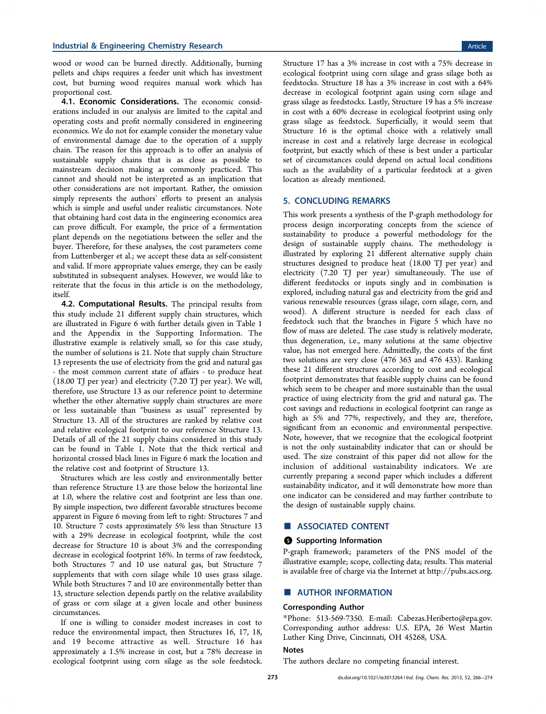<span id="page-7-0"></span>wood or wood can be burned directly. Additionally, burning pellets and chips requires a feeder unit which has investment cost, but burning wood requires manual work which has proportional cost.

4.1. Economic Considerations. The economic considerations included in our analysis are limited to the capital and operating costs and profit normally considered in engineering economics. We do not for example consider the monetary value of environmental damage due to the operation of a supply chain. The reason for this approach is to offer an analysis of sustainable supply chains that is as close as possible to mainstream decision making as commonly practiced. This cannot and should not be interpreted as an implication that other considerations are not important. Rather, the omission simply represents the authors' efforts to present an analysis which is simple and useful under realistic circumstances. Note that obtaining hard cost data in the engineering economics area can prove difficult. For example, the price of a fermentation plant depends on the negotiations between the seller and the buyer. Therefore, for these analyses, the cost parameters come from Luttenberger et al.; we accept these data as self-consistent and valid. If more appropriate values emerge, they can be easily substituted in subsequent analyses. However, we would like to reiterate that the focus in this article is on the methodology, itself.

4.2. Computational Results. The principal results from this study include 21 different supply chain structures, which are illustrated in Figure 6 with further details given in Table 1 and the Appendix in the Supporting Information. The illustrative example is r[el](#page-6-0)atively small, so for this case stud[y,](#page-6-0) the number of solutions is 21. Note that supply chain Structure 13 represents the use of electricity from the grid and natural gas - the most common current state of affairs - to produce heat (18.00 TJ per year) and electricity (7.20 TJ per year). We will, therefore, use Structure 13 as our reference point to determine whether the other alternative supply chain structures are more or less sustainable than "business as usual" represented by Structure 13. All of the structures are ranked by relative cost and relative ecological footprint to our reference Structure 13. Details of all of the 21 supply chains considered in this study can be found in Table 1. Note that the thick vertical and horizontal crossed black lines in Figure 6 mark the location and the relative cost and foot[pr](#page-6-0)int of Structure 13.

Structures which are less costly and [e](#page-6-0)nvironmentally better than reference Structure 13 are those below the horizontal line at 1.0, where the relative cost and footprint are less than one. By simple inspection, two different favorable structures become apparent in Figure 6 moving from left to right: Structures 7 and 10. Structure 7 costs approximately 5% less than Structure 13 with a 29% decr[eas](#page-6-0)e in ecological footprint, while the cost decrease for Structure 10 is about 3% and the corresponding decrease in ecological footprint 16%. In terms of raw feedstock, both Structures 7 and 10 use natural gas, but Structure 7 supplements that with corn silage while 10 uses grass silage. While both Structures 7 and 10 are environmentally better than 13, structure selection depends partly on the relative availability of grass or corn silage at a given locale and other business circumstances.

If one is willing to consider modest increases in cost to reduce the environmental impact, then Structures 16, 17, 18, and 19 become attractive as well. Structure 16 has approximately a 1.5% increase in cost, but a 78% decrease in ecological footprint using corn silage as the sole feedstock.

Structure 17 has a 3% increase in cost with a 75% decrease in ecological footprint using corn silage and grass silage both as feedstocks. Structure 18 has a 3% increase in cost with a 64% decrease in ecological footprint again using corn silage and grass silage as feedstocks. Lastly, Structure 19 has a 5% increase in cost with a 60% decrease in ecological footprint using only grass silage as feedstock. Superficially, it would seem that Structure 16 is the optimal choice with a relatively small increase in cost and a relatively large decrease in ecological footprint, but exactly which of these is best under a particular set of circumstances could depend on actual local conditions such as the availability of a particular feedstock at a given location as already mentioned.

## 5. CONCLUDING REMARKS

This work presents a synthesis of the P-graph methodology for process design incorporating concepts from the science of sustainability to produce a powerful methodology for the design of sustainable supply chains. The methodology is illustrated by exploring 21 different alternative supply chain structures designed to produce heat (18.00 TJ per year) and electricity (7.20 TJ per year) simultaneously. The use of different feedstocks or inputs singly and in combination is explored, including natural gas and electricity from the grid and various renewable resources (grass silage, corn silage, corn, and wood). A different structure is needed for each class of feedstock such that the branches in Figure 5 which have no flow of mass are deleted. The case study is relatively moderate, thus degeneration, i.e., many solutions at t[he](#page-5-0) same objective value, has not emerged here. Admittedly, the costs of the first two solutions are very close (476 363 and 476 433). Ranking these 21 different structures according to cost and ecological footprint demonstrates that feasible supply chains can be found which seem to be cheaper and more sustainable than the usual practice of using electricity from the grid and natural gas. The cost savings and reductions in ecological footprint can range as high as 5% and 77%, respectively, and they are, therefore, significant from an economic and environmental perspective. Note, however, that we recognize that the ecological footprint is not the only sustainability indicator that can or should be used. The size constraint of this paper did not allow for the inclusion of additional sustainability indicators. We are currently preparing a second paper which includes a different sustainability indicator, and it will demonstrate how more than one indicator can be considered and may further contribute to the design of sustainable supply chains.

## ■ ASSOCIATED CONTENT

# **6** Supporting Information

P-graph framework; parameters of the PNS model of the illustrative example; scope, collecting data; results. This material is available free of charge via the Internet at http://pubs.acs.org.

#### ■ AUTHOR INFORMATION

#### Corresponding Author

\*Phone: 513-569-7350. E-mail: Cabezas.Heriberto@epa.gov. Corresponding author address: U.S. EPA, 26 West Martin Luther King Drive, Cincinnati, O[H 45268, USA.](mailto:Cabezas.Heriberto@epa.gov)

#### Notes

The authors declare no competing financial interest.